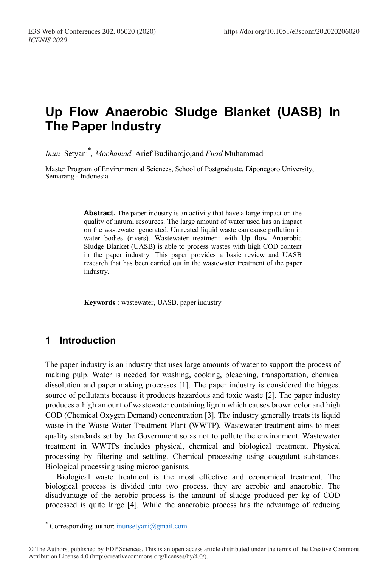# **Up Flow Anaerobic Sludge Blanket (UASB) In The Paper Industry**

*Inun* Setyani\* *, Mochamad* Arief Budihardjo,and *Fuad* Muhammad

Master Program of Environmental Sciences, School of Postgraduate, Diponegoro University, Semarang - Indonesia

> **Abstract.** The paper industry is an activity that have a large impact on the quality of natural resources. The large amount of water used has an impact on the wastewater generated. Untreated liquid waste can cause pollution in water bodies (rivers). Wastewater treatment with Up flow Anaerobic Sludge Blanket (UASB) is able to process wastes with high COD content in the paper industry. This paper provides a basic review and UASB research that has been carried out in the wastewater treatment of the paper industry.

**Keywords :** wastewater, UASB, paper industry

### **1 Introduction**

The paper industry is an industry that uses large amounts of water to support the process of making pulp. Water is needed for washing, cooking, bleaching, transportation, chemical dissolution and paper making processes [1]. The paper industry is considered the biggest source of pollutants because it produces hazardous and toxic waste [2]. The paper industry produces a high amount of wastewater containing lignin which causes brown color and high COD (Chemical Oxygen Demand) concentration [3]. The industry generally treats its liquid waste in the Waste Water Treatment Plant (WWTP). Wastewater treatment aims to meet quality standards set by the Government so as not to pollute the environment. Wastewater treatment in WWTPs includes physical, chemical and biological treatment. Physical processing by filtering and settling. Chemical processing using coagulant substances. Biological processing using microorganisms.

Biological waste treatment is the most effective and economical treatment. The biological process is divided into two process, they are aerobic and anaerobic. The disadvantage of the aerobic process is the amount of sludge produced per kg of COD processed is quite large [4]. While the anaerobic process has the advantage of reducing

 <sup>\*</sup> Corresponding author: inunsetyani@gmail.com

<sup>©</sup> The Authors, published by EDP Sciences. This is an open access article distributed under the terms of the Creative Commons Attribution License 4.0 (http://creativecommons.org/licenses/by/4.0/).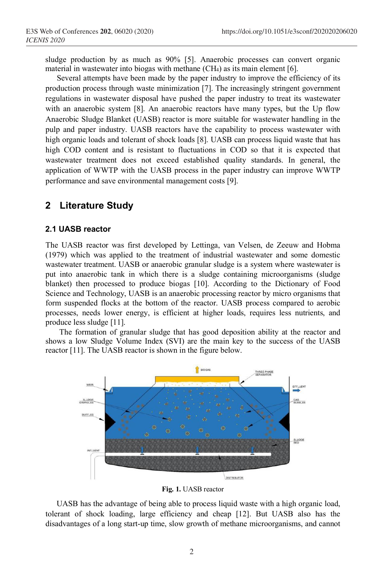sludge production by as much as 90% [5]. Anaerobic processes can convert organic material in wastewater into biogas with methane (CH4) as its main element [6].

Several attempts have been made by the paper industry to improve the efficiency of its production process through waste minimization [7]. The increasingly stringent government regulations in wastewater disposal have pushed the paper industry to treat its wastewater with an anaerobic system [8]. An anaerobic reactors have many types, but the Up flow Anaerobic Sludge Blanket (UASB) reactor is more suitable for wastewater handling in the pulp and paper industry. UASB reactors have the capability to process wastewater with high organic loads and tolerant of shock loads [8]. UASB can process liquid waste that has high COD content and is resistant to fluctuations in COD so that it is expected that wastewater treatment does not exceed established quality standards. In general, the application of WWTP with the UASB process in the paper industry can improve WWTP performance and save environmental management costs [9].

### **2 Literature Study**

#### **2.1 UASB reactor**

The UASB reactor was first developed by Lettinga, van Velsen, de Zeeuw and Hobma (1979) which was applied to the treatment of industrial wastewater and some domestic wastewater treatment. UASB or anaerobic granular sludge is a system where wastewater is put into anaerobic tank in which there is a sludge containing microorganisms (sludge blanket) then processed to produce biogas [10]. According to the Dictionary of Food Science and Technology, UASB is an anaerobic processing reactor by micro organisms that form suspended flocks at the bottom of the reactor. UASB process compared to aerobic processes, needs lower energy, is efficient at higher loads, requires less nutrients, and produce less sludge [11].

The formation of granular sludge that has good deposition ability at the reactor and shows a low Sludge Volume Index (SVI) are the main key to the success of the UASB reactor [11]. The UASB reactor is shown in the figure below.



**Fig. 1.** UASB reactor

UASB has the advantage of being able to process liquid waste with a high organic load, tolerant of shock loading, large efficiency and cheap [12]. But UASB also has the disadvantages of a long start-up time, slow growth of methane microorganisms, and cannot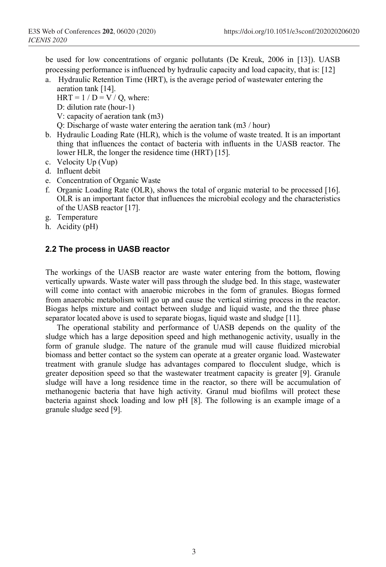be used for low concentrations of organic pollutants (De Kreuk, 2006 in [13]). UASB processing performance is influenced by hydraulic capacity and load capacity, that is: [12]

a. Hydraulic Retention Time (HRT), is the average period of wastewater entering the aeration tank [14].

 $HRT = 1 / D = V / O$ , where:

- D: dilution rate (hour-1)
- V: capacity of aeration tank (m3)
- Q: Discharge of waste water entering the aeration tank (m3 / hour)
- b. Hydraulic Loading Rate (HLR), which is the volume of waste treated. It is an important thing that influences the contact of bacteria with influents in the UASB reactor. The lower HLR, the longer the residence time (HRT) [15].
- c. Velocity Up (Vup)
- d. Influent debit
- e. Concentration of Organic Waste
- f. Organic Loading Rate (OLR), shows the total of organic material to be processed [16]. OLR is an important factor that influences the microbial ecology and the characteristics of the UASB reactor [17].
- g. Temperature
- h. Acidity (pH)

#### **2.2 The process in UASB reactor**

The workings of the UASB reactor are waste water entering from the bottom, flowing vertically upwards. Waste water will pass through the sludge bed. In this stage, wastewater will come into contact with anaerobic microbes in the form of granules. Biogas formed from anaerobic metabolism will go up and cause the vertical stirring process in the reactor. Biogas helps mixture and contact between sludge and liquid waste, and the three phase separator located above is used to separate biogas, liquid waste and sludge [11].

The operational stability and performance of UASB depends on the quality of the sludge which has a large deposition speed and high methanogenic activity, usually in the form of granule sludge. The nature of the granule mud will cause fluidized microbial biomass and better contact so the system can operate at a greater organic load. Wastewater treatment with granule sludge has advantages compared to flocculent sludge, which is greater deposition speed so that the wastewater treatment capacity is greater [9]. Granule sludge will have a long residence time in the reactor, so there will be accumulation of methanogenic bacteria that have high activity. Granul mud biofilms will protect these bacteria against shock loading and low pH [8]. The following is an example image of a granule sludge seed [9].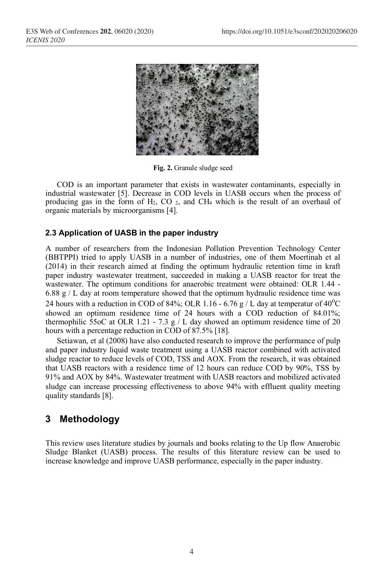

**Fig. 2.** Granule sludge seed

COD is an important parameter that exists in wastewater contaminants, especially in industrial wastewater [5]. Decrease in COD levels in UASB occurs when the process of producing gas in the form of  $H_2$ , CO  $_2$ , and CH<sub>4</sub> which is the result of an overhaul of organic materials by microorganisms [4].

### **2.3 Application of UASB in the paper industry**

A number of researchers from the Indonesian Pollution Prevention Technology Center (BBTPPI) tried to apply UASB in a number of industries, one of them Moertinah et al (2014) in their research aimed at finding the optimum hydraulic retention time in kraft paper industry wastewater treatment, succeeded in making a UASB reactor for treat the wastewater. The optimum conditions for anaerobic treatment were obtained: OLR 1.44 - 6.88 g / L day at room temperature showed that the optimum hydraulic residence time was 24 hours with a reduction in COD of 84%; OLR 1.16 - 6.76 g / L day at temperatur of  $40^{\circ}$ C showed an optimum residence time of 24 hours with a COD reduction of 84.01%; thermophilic 55oC at OLR 1.21 - 7.3 g / L day showed an optimum residence time of 20 hours with a percentage reduction in COD of 87.5% [18].

Setiawan, et al (2008) have also conducted research to improve the performance of pulp and paper industry liquid waste treatment using a UASB reactor combined with activated sludge reactor to reduce levels of COD, TSS and AOX. From the research, it was obtained that UASB reactors with a residence time of 12 hours can reduce COD by 90%, TSS by 91% and AOX by 84%. Wastewater treatment with UASB reactors and mobilized activated sludge can increase processing effectiveness to above 94% with effluent quality meeting quality standards [8].

### **3 Methodology**

This review uses literature studies by journals and books relating to the Up flow Anaerobic Sludge Blanket (UASB) process. The results of this literature review can be used to increase knowledge and improve UASB performance, especially in the paper industry.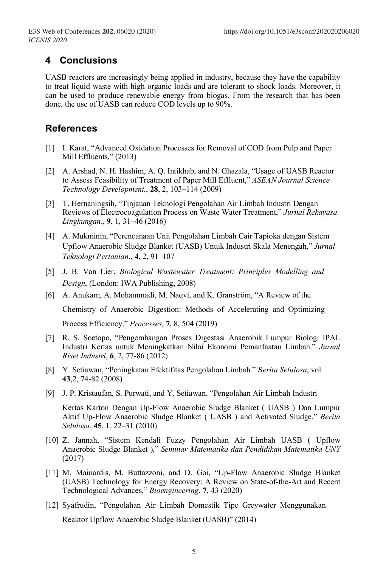## **4 Conclusions**

UASB reactors are increasingly being applied in industry, because they have the capability to treat liquid waste with high organic loads and are tolerant to shock loads. Moreover, it can be used to produce renewable energy from biogas. From the research that has been done, the use of UASB can reduce COD levels up to 90%.

### **References**

- [1] I. Karat, "Advanced Oxidation Processes for Removal of COD from Pulp and Paper Mill Effluents," (2013)
- [2] A. Arshad, N. H. Hashim, A. Q. Intikhab, and N. Ghazala, "Usage of UASB Reactor to Assess Feasibility of Treatment of Paper Mill Effluent," *ASEAN Journal Science Technology Development.*, **28**, 2, 103–114 (2009)
- [3] T. Hernaningsih, "Tinjauan Teknologi Pengolahan Air Limbah Industri Dengan Reviews of Electrocoagulation Process on Waste Water Treatment," *Jurnal Rekayasa Lingkungan.*, **9**, 1, 31–46 (2016)
- [4] A. Mukminin, "Perencanaan Unit Pengolahan Limbah Cair Tapioka dengan Sistem Upflow Anaerobic Sludge Blanket (UASB) Untuk Industri Skala Menengah," *Jurnal Teknologi Pertanian*., **4**, 2, 91–107
- [5] J. B. Van Lier, *Biological Wastewater Treatment: Principles Modelling and Design*, (London: IWA Publishing, 2008)
- [6] A. Anukam, A. Mohammadi, M. Naqvi, and K. Granström, "A Review of the Chemistry of Anaerobic Digestion: Methods of Accelerating and Optimizing Process Efficiency," *Processes*, **7**, 8, 504 (2019)
- [7] R. S. Soetopo, "Pengembangan Proses Digestasi Anaerobik Lumpur Biologi IPAL Industri Kertas untuk Meningkatkan Nilai Ekonomi Pemanfaatan Limbah." *Jurnal Riset Industri*, **6**, 2, 77-86 (2012)
- [8] Y. Setiawan, "Peningkatan Efektifitas Pengolahan Limbah." *Berita Selulosa*, vol. **43**,2, 74-82 (2008)
- [9] J. P. Kristaufan, S. Purwati, and Y. Setiawan, "Pengolahan Air Limbah Industri

Kertas Karton Dengan Up-Flow Anaerobic Sludge Blanket ( UASB ) Dan Lumpur Aktif Up-Flow Anaerobic Sludge Blanket ( UASB ) and Activated Sludge," *Berita Selulosa*, **45**, 1, 22–31 (2010)

- [10] Z. Jannah, "Sistem Kendali Fuzzy Pengolahan Air Limbah UASB ( Upflow Anaerobic Sludge Blanket )," *Seminar Matematika dan Pendidikan Matematika UNY*  (2017)
- [11] M. Mainardis, M. Buttazzoni, and D. Goi, "Up-Flow Anaerobic Sludge Blanket (UASB) Technology for Energy Recovery: A Review on State-of-the-Art and Recent Technological Advances," *Bioengineering*, **7**, 43 (2020)
- [12] Syafrudin, "Pengolahan Air Limbah Domestik Tipe Greywater Menggunakan Reaktor Upflow Anaerobic Sludge Blanket (UASB)" (2014)